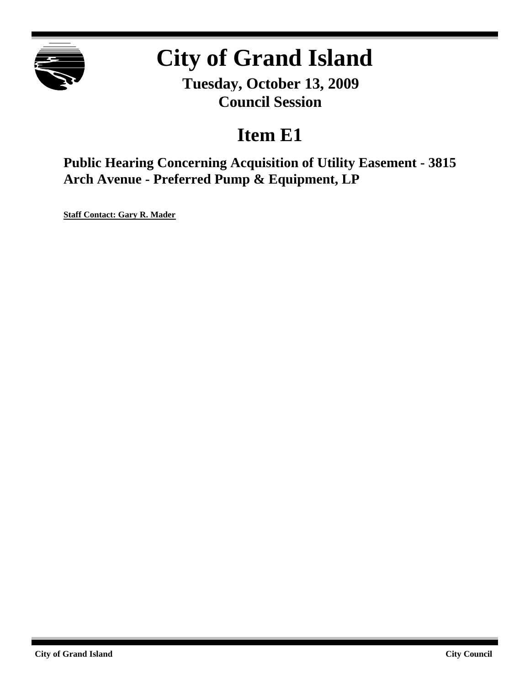

# **City of Grand Island**

**Tuesday, October 13, 2009 Council Session**

# **Item E1**

**Public Hearing Concerning Acquisition of Utility Easement - 3815 Arch Avenue - Preferred Pump & Equipment, LP**

**Staff Contact: Gary R. Mader**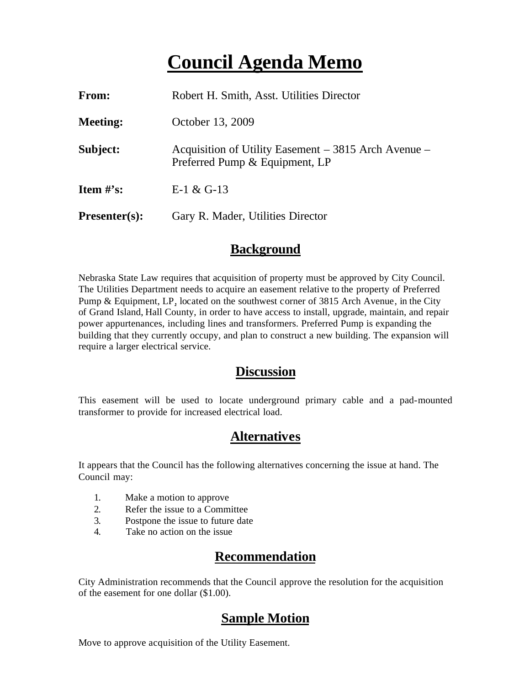## **Council Agenda Memo**

| From:                          | Robert H. Smith, Asst. Utilities Director                                              |
|--------------------------------|----------------------------------------------------------------------------------------|
| <b>Meeting:</b>                | October 13, 2009                                                                       |
| Subject:                       | Acquisition of Utility Easement – 3815 Arch Avenue –<br>Preferred Pump & Equipment, LP |
| <b>Item <math>\#</math>'s:</b> | E-1 & G-13                                                                             |
| $Presenter(s):$                | Gary R. Mader, Utilities Director                                                      |

#### **Background**

Nebraska State Law requires that acquisition of property must be approved by City Council. The Utilities Department needs to acquire an easement relative to the property of Preferred Pump & Equipment, LP, located on the southwest corner of 3815 Arch Avenue, in the City of Grand Island, Hall County, in order to have access to install, upgrade, maintain, and repair power appurtenances, including lines and transformers. Preferred Pump is expanding the building that they currently occupy, and plan to construct a new building. The expansion will require a larger electrical service.

#### **Discussion**

This easement will be used to locate underground primary cable and a pad-mounted transformer to provide for increased electrical load.

#### **Alternatives**

It appears that the Council has the following alternatives concerning the issue at hand. The Council may:

- 1. Make a motion to approve
- 2. Refer the issue to a Committee
- 3. Postpone the issue to future date
- 4. Take no action on the issue

### **Recommendation**

City Administration recommends that the Council approve the resolution for the acquisition of the easement for one dollar (\$1.00).

### **Sample Motion**

Move to approve acquisition of the Utility Easement.